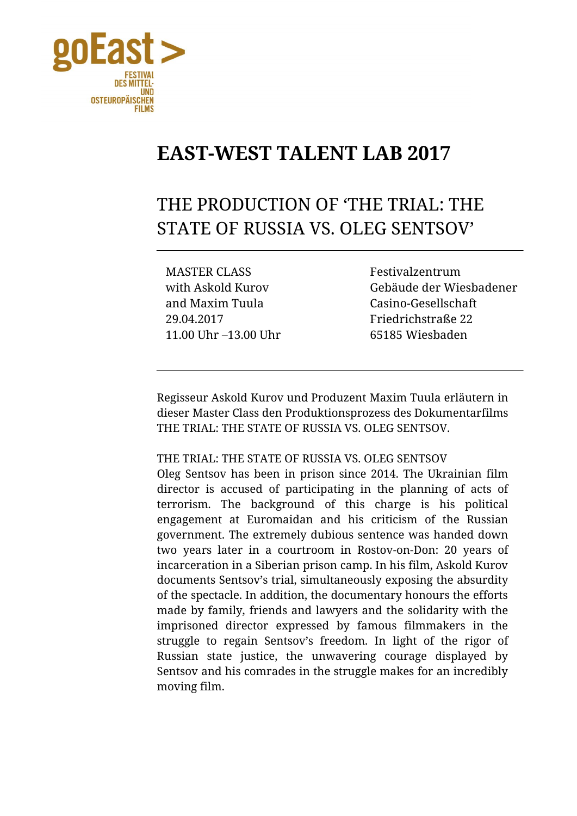

# **EAST-WEST TALENT LAB 2017**

# THE PRODUCTION OF 'THE TRIAL: THE STATE OF RUSSIA VS. OLEG SENTSOV'

MASTER CLASS Festivalzentrum and Maxim Tuula Casino-Gesellschaft 29.04.2017 11.00 Uhr –13.00 Uhr

with Askold Kurov Gebäude der Wiesbadener Friedrichstraße 22 65185 Wiesbaden

Regisseur Askold Kurov und Produzent Maxim Tuula erläutern in dieser Master Class den Produktionsprozess des Dokumentarfilms THE TRIAL: THE STATE OF RUSSIA VS. OLEG SENTSOV.

### THE TRIAL: THE STATE OF RUSSIA VS. OLEG SENTSOV

Oleg Sentsov has been in prison since 2014. The Ukrainian film director is accused of participating in the planning of acts of terrorism. The background of this charge is his political engagement at Euromaidan and his criticism of the Russian government. The extremely dubious sentence was handed down two years later in a courtroom in Rostov-on-Don: 20 years of incarceration in a Siberian prison camp. In his film, Askold Kurov documents Sentsov's trial, simultaneously exposing the absurdity of the spectacle. In addition, the documentary honours the efforts made by family, friends and lawyers and the solidarity with the imprisoned director expressed by famous filmmakers in the struggle to regain Sentsov's freedom. In light of the rigor of Russian state justice, the unwavering courage displayed by Sentsov and his comrades in the struggle makes for an incredibly moving film.